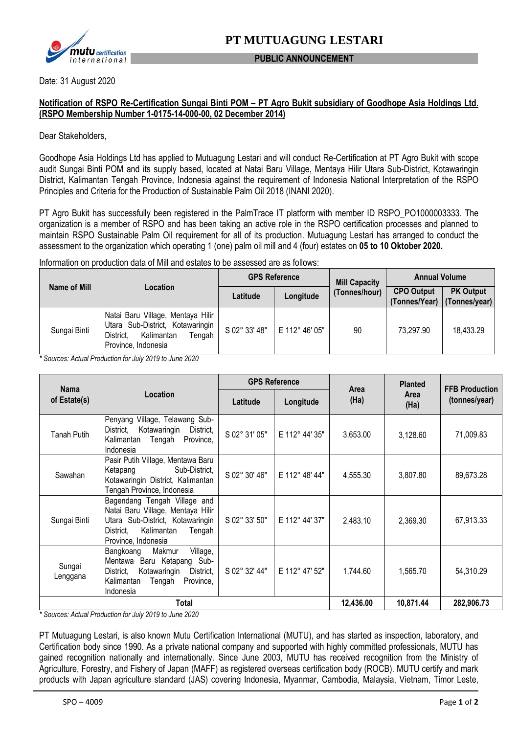

#### **PUBLIC ANNOUNCEMENT**

Date: 31 August 2020

### **Notification of RSPO Re-Certification Sungai Binti POM – PT Agro Bukit subsidiary of Goodhope Asia Holdings Ltd. (RSPO Membership Number 1-0175-14-000-00, 02 December 2014)**

Dear Stakeholders,

Goodhope Asia Holdings Ltd has applied to Mutuagung Lestari and will conduct Re-Certification at PT Agro Bukit with scope audit Sungai Binti POM and its supply based, located at Natai Baru Village, Mentaya Hilir Utara Sub-District, Kotawaringin District, Kalimantan Tengah Province, Indonesia against the requirement of Indonesia National Interpretation of the RSPO Principles and Criteria for the Production of Sustainable Palm Oil 2018 (INANI 2020).

PT Agro Bukit has successfully been registered in the PalmTrace IT platform with member ID RSPO\_PO1000003333. The organization is a member of RSPO and has been taking an active role in the RSPO certification processes and planned to maintain RSPO Sustainable Palm Oil requirement for all of its production. Mutuagung Lestari has arranged to conduct the assessment to the organization which operating 1 (one) palm oil mill and 4 (four) estates on **05 to 10 Oktober 2020.**

Information on production data of Mill and estates to be assessed are as follows:

| Name of Mill | Location                                                                                                                          | <b>GPS Reference</b> |                | <b>Mill Capacity</b> | <b>Annual Volume</b>               |                                   |
|--------------|-----------------------------------------------------------------------------------------------------------------------------------|----------------------|----------------|----------------------|------------------------------------|-----------------------------------|
|              |                                                                                                                                   | Latitude             | Longitude      | (Tonnes/hour)        | <b>CPO Output</b><br>(Tonnes/Year) | <b>PK Output</b><br>(Tonnes/year) |
| Sungai Binti | Natai Baru Village, Mentaya Hilir<br>Utara Sub-District, Kotawaringin<br>District.<br>Kalimantan<br>Tengah<br>Province, Indonesia | S 02° 33' 48"        | E 112° 46' 05" | 90                   | 73,297.90                          | 18,433.29                         |

*\* Sources: Actual Production for July 2019 to June 2020*

| <b>Nama</b><br>of Estate(s) | Location                                                                                                                                                          | <b>GPS Reference</b> |                |                     | <b>Planted</b>      |                                        |
|-----------------------------|-------------------------------------------------------------------------------------------------------------------------------------------------------------------|----------------------|----------------|---------------------|---------------------|----------------------------------------|
|                             |                                                                                                                                                                   | Latitude             | Longitude      | <b>Area</b><br>(Ha) | <b>Area</b><br>(Ha) | <b>FFB Production</b><br>(tonnes/year) |
| Tanah Putih                 | Village, Telawang Sub-<br>Penyang<br>District,<br>Kotawaringin<br>District.<br>Kalimantan<br>Province,<br>Tengah<br>Indonesia                                     | S 02° 31' 05"        | E 112° 44' 35" | 3,653.00            | 3,128.60            | 71,009.83                              |
| Sawahan                     | Pasir Putih Village, Mentawa Baru<br>Sub-District,<br>Ketapang<br>Kotawaringin District, Kalimantan<br>Tengah Province, Indonesia                                 | S 02° 30' 46"        | E 112° 48' 44" | 4,555.30            | 3,807.80            | 89,673.28                              |
| Sungai Binti                | Bagendang Tengah Village and<br>Natai Baru Village, Mentaya Hilir<br>Utara Sub-District, Kotawaringin<br>District.<br>Kalimantan<br>Tengah<br>Province, Indonesia | S 02° 33' 50"        | E 112° 44' 37" | 2,483.10            | 2,369.30            | 67,913.33                              |
| Sungai<br>Lenggana          | Village,<br>Makmur<br>Bangkoang<br>Mentawa Baru Ketapang Sub-<br>District,<br>Kotawaringin<br>District.<br>Kalimantan<br>Province,<br>Tengah<br>Indonesia         | S 02° 32' 44"        | E 112° 47' 52" | 1,744.60            | 1,565.70            | 54,310.29                              |
|                             | Total                                                                                                                                                             | 12,436.00            | 10,871.44      | 282,906.73          |                     |                                        |

*\* Sources: Actual Production for July 2019 to June 2020*

PT Mutuagung Lestari, is also known Mutu Certification International (MUTU), and has started as inspection, laboratory, and Certification body since 1990. As a private national company and supported with highly committed professionals, MUTU has gained recognition nationally and internationally. Since June 2003, MUTU has received recognition from the Ministry of Agriculture, Forestry, and Fishery of Japan (MAFF) as registered overseas certification body (ROCB). MUTU certify and mark products with Japan agriculture standard (JAS) covering Indonesia, Myanmar, Cambodia, Malaysia, Vietnam, Timor Leste,